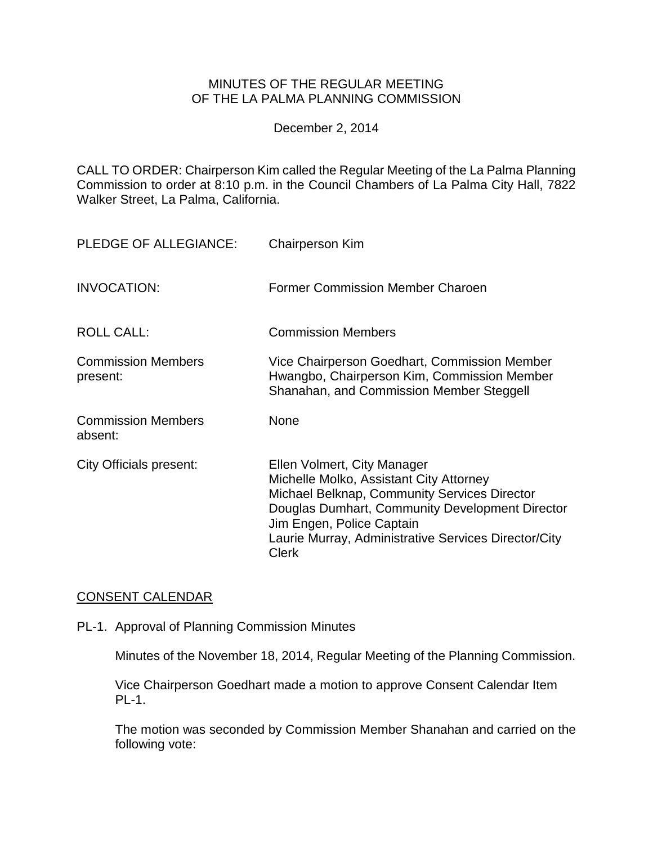## MINUTES OF THE REGULAR MEETING OF THE LA PALMA PLANNING COMMISSION

December 2, 2014

CALL TO ORDER: Chairperson Kim [called the Regular Meeting of the La Palma Planning](http://lapalma.granicus.com/MediaPlayer.php?view_id=&clip_id=870&meta_id=115150)  Commission [to order at 8:10 p.m. in the Council Chambers of La Palma City Hall, 7822](http://lapalma.granicus.com/MediaPlayer.php?view_id=&clip_id=870&meta_id=115150)  [Walker Street, La Palma, California.](http://lapalma.granicus.com/MediaPlayer.php?view_id=&clip_id=870&meta_id=115150)

| <b>PLEDGE OF ALLEGIANCE:</b>          | <b>Chairperson Kim</b>                                                                                                                                                                                                                                                         |
|---------------------------------------|--------------------------------------------------------------------------------------------------------------------------------------------------------------------------------------------------------------------------------------------------------------------------------|
| <b>INVOCATION:</b>                    | Former Commission Member Charoen                                                                                                                                                                                                                                               |
| <b>ROLL CALL:</b>                     | <b>Commission Members</b>                                                                                                                                                                                                                                                      |
| <b>Commission Members</b><br>present: | Vice Chairperson Goedhart, Commission Member<br>Hwangbo, Chairperson Kim, Commission Member<br>Shanahan, and Commission Member Steggell                                                                                                                                        |
| <b>Commission Members</b><br>absent:  | <b>None</b>                                                                                                                                                                                                                                                                    |
| City Officials present:               | Ellen Volmert, City Manager<br>Michelle Molko, Assistant City Attorney<br>Michael Belknap, Community Services Director<br>Douglas Dumhart, Community Development Director<br>Jim Engen, Police Captain<br>Laurie Murray, Administrative Services Director/City<br><b>Clerk</b> |

## [CONSENT CALENDAR](http://lapalma.granicus.com/MediaPlayer.php?view_id=&clip_id=870&meta_id=115226)

PL-1. Approval of Planning Commission Minutes

Minutes of the November 18, 2014, Regular Meeting of the Planning Commission.

Vice Chairperson Goedhart made a motion to approve Consent Calendar Item PL-1.

The motion was seconded by Commission Member Shanahan and carried on the following vote: